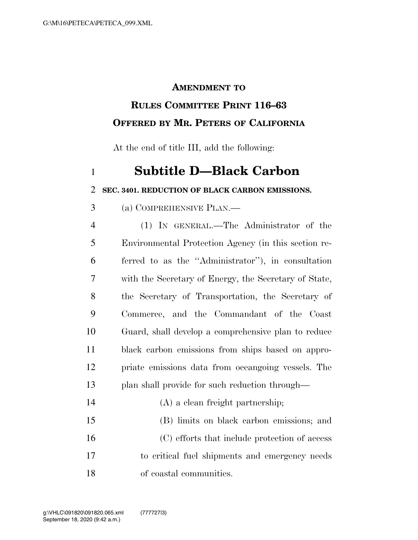### **AMENDMENT TO**

### **RULES COMMITTEE PRINT 116–63 OFFERED BY MR. PETERS OF CALIFORNIA**

At the end of title III, add the following:

# **Subtitle D—Black Carbon**

### **SEC. 3401. REDUCTION OF BLACK CARBON EMISSIONS.**

(a) COMPREHENSIVE PLAN.—

 (1) IN GENERAL.—The Administrator of the Environmental Protection Agency (in this section re- ferred to as the ''Administrator''), in consultation with the Secretary of Energy, the Secretary of State, the Secretary of Transportation, the Secretary of Commerce, and the Commandant of the Coast Guard, shall develop a comprehensive plan to reduce black carbon emissions from ships based on appro- priate emissions data from oceangoing vessels. The plan shall provide for such reduction through— (A) a clean freight partnership;

 (B) limits on black carbon emissions; and (C) efforts that include protection of access to critical fuel shipments and emergency needs of coastal communities.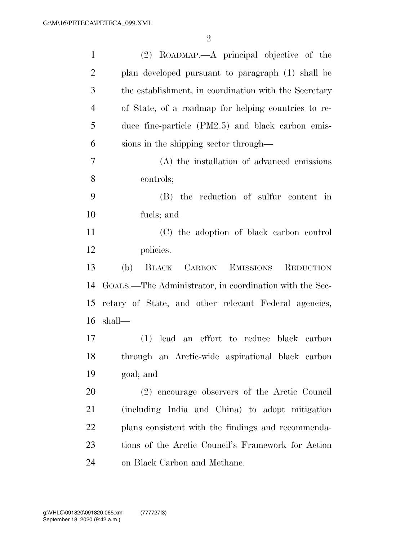| $\mathbf{1}$   | (2) ROADMAP.—A principal objective of the                   |
|----------------|-------------------------------------------------------------|
| $\overline{2}$ | plan developed pursuant to paragraph (1) shall be           |
| 3              | the establishment, in coordination with the Secretary       |
| $\overline{4}$ | of State, of a roadmap for helping countries to re-         |
| 5              | duce fine-particle (PM2.5) and black carbon emis-           |
| 6              | sions in the shipping sector through—                       |
| 7              | (A) the installation of advanced emissions                  |
| 8              | controls;                                                   |
| 9              | (B) the reduction of sulfur content in                      |
| 10             | fuels; and                                                  |
| 11             | (C) the adoption of black carbon control                    |
| 12             | policies.                                                   |
| 13             | BLACK CARBON<br>(b)<br><b>EMISSIONS</b><br><b>REDUCTION</b> |
| 14             | GOALS.—The Administrator, in coordination with the Sec-     |
| 15             | retary of State, and other relevant Federal agencies,       |
| 16             | shall—                                                      |
| 17             | (1)<br>lead an effort to reduce black carbon                |
| 18             | through an Arctic-wide aspirational black carbon            |
| 19             | goal; and                                                   |
| 20             | (2) encourage observers of the Arctic Council               |
| 21             | (including India and China) to adopt mitigation             |
| 22             | plans consistent with the findings and recommenda-          |
| 23             | tions of the Arctic Council's Framework for Action          |
| 24             | on Black Carbon and Methane.                                |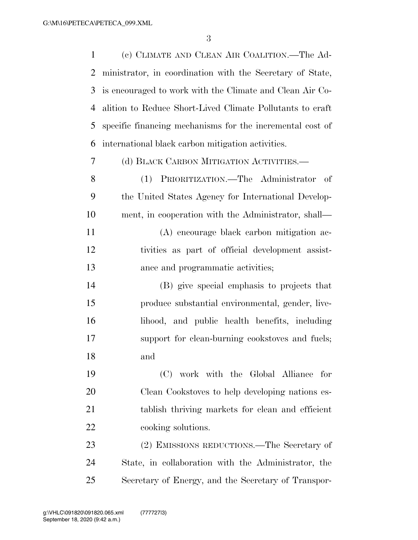(c) CLIMATE AND CLEAN AIR COALITION.—The Ad- ministrator, in coordination with the Secretary of State, is encouraged to work with the Climate and Clean Air Co- alition to Reduce Short-Lived Climate Pollutants to craft specific financing mechanisms for the incremental cost of international black carbon mitigation activities.

(d) BLACK CARBON MITIGATION ACTIVITIES.—

 (1) PRIORITIZATION.—The Administrator of the United States Agency for International Develop-ment, in cooperation with the Administrator, shall—

 (A) encourage black carbon mitigation ac- tivities as part of official development assist-ance and programmatic activities;

 (B) give special emphasis to projects that produce substantial environmental, gender, live- lihood, and public health benefits, including support for clean-burning cookstoves and fuels; and

 (C) work with the Global Alliance for Clean Cookstoves to help developing nations es- tablish thriving markets for clean and efficient cooking solutions.

 (2) EMISSIONS REDUCTIONS.—The Secretary of State, in collaboration with the Administrator, the Secretary of Energy, and the Secretary of Transpor